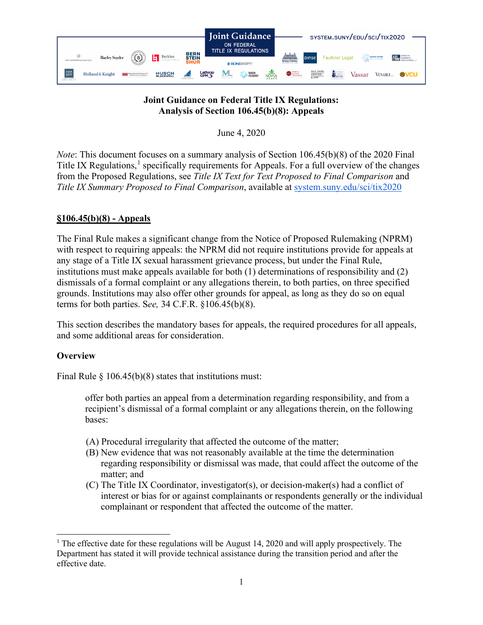

## **Joint Guidance on Federal Title IX Regulations: Analysis of Section 106.45(b)(8): Appeals**

June 4, 2020

*Note*: This document focuses on a summary analysis of Section 106.45(b)(8) of the 2020 Final Title IX Regulations,<sup>[1](#page-0-0)</sup> specifically requirements for Appeals. For a full overview of the changes from the Proposed Regulations, see *Title IX Text for Text Proposed to Final Comparison* and *Title IX Summary Proposed to Final Comparison*, available at [system.suny.edu/sci/tix2020](https://system.suny.edu/sci/tix2020/)

## **§106.45(b)(8) - Appeals**

The Final Rule makes a significant change from the Notice of Proposed Rulemaking (NPRM) with respect to requiring appeals: the NPRM did not require institutions provide for appeals at any stage of a Title IX sexual harassment grievance process, but under the Final Rule, institutions must make appeals available for both (1) determinations of responsibility and (2) dismissals of a formal complaint or any allegations therein, to both parties, on three specified grounds. Institutions may also offer other grounds for appeal, as long as they do so on equal terms for both parties. S*ee,* 34 C.F.R. §106.45(b)(8).

This section describes the mandatory bases for appeals, the required procedures for all appeals, and some additional areas for consideration.

# **Overview**

Final Rule  $\S 106.45(b)(8)$  states that institutions must:

offer both parties an appeal from a determination regarding responsibility, and from a recipient's dismissal of a formal complaint or any allegations therein, on the following bases:

- (A) Procedural irregularity that affected the outcome of the matter;
- (B) New evidence that was not reasonably available at the time the determination regarding responsibility or dismissal was made, that could affect the outcome of the matter; and
- (C) The Title IX Coordinator, investigator(s), or decision-maker(s) had a conflict of interest or bias for or against complainants or respondents generally or the individual complainant or respondent that affected the outcome of the matter.

<span id="page-0-0"></span><sup>&</sup>lt;sup>1</sup> The effective date for these regulations will be August 14, 2020 and will apply prospectively. The Department has stated it will provide technical assistance during the transition period and after the effective date.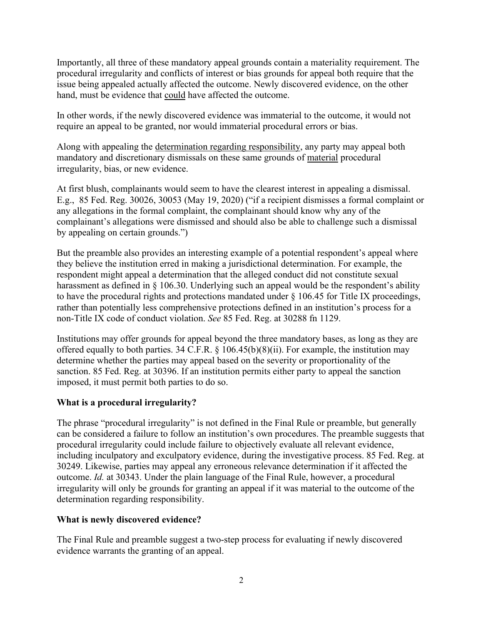Importantly, all three of these mandatory appeal grounds contain a materiality requirement. The procedural irregularity and conflicts of interest or bias grounds for appeal both require that the issue being appealed actually affected the outcome. Newly discovered evidence, on the other hand, must be evidence that could have affected the outcome.

In other words, if the newly discovered evidence was immaterial to the outcome, it would not require an appeal to be granted, nor would immaterial procedural errors or bias.

Along with appealing the [determination regarding responsibility,](https://system.suny.edu/media/suny/content-assets/documents/sci/tix2020/Determinations-Regarding-Responsibility.pdf) any party may appeal both mandatory and discretionary dismissals on these same grounds of material procedural irregularity, bias, or new evidence.

At first blush, complainants would seem to have the clearest interest in appealing a dismissal. E.g., 85 Fed. Reg. 30026, 30053 (May 19, 2020) ("if a recipient dismisses a formal complaint or any allegations in the formal complaint, the complainant should know why any of the complainant's allegations were dismissed and should also be able to challenge such a dismissal by appealing on certain grounds.")

But the preamble also provides an interesting example of a potential respondent's appeal where they believe the institution erred in making a jurisdictional determination. For example, the respondent might appeal a determination that the alleged conduct did not constitute sexual harassment as defined in § 106.30. Underlying such an appeal would be the respondent's ability to have the procedural rights and protections mandated under § 106.45 for Title IX proceedings, rather than potentially less comprehensive protections defined in an institution's process for a non-Title IX code of conduct violation. *See* 85 Fed. Reg. at 30288 fn 1129.

Institutions may offer grounds for appeal beyond the three mandatory bases, as long as they are offered equally to both parties. 34 C.F.R. § 106.45(b)(8)(ii). For example, the institution may determine whether the parties may appeal based on the severity or proportionality of the sanction. 85 Fed. Reg. at 30396. If an institution permits either party to appeal the sanction imposed, it must permit both parties to do so.

## **What is a procedural irregularity?**

The phrase "procedural irregularity" is not defined in the Final Rule or preamble, but generally can be considered a failure to follow an institution's own procedures. The preamble suggests that procedural irregularity could include failure to objectively evaluate all relevant evidence, including inculpatory and exculpatory evidence, during the investigative process. 85 Fed. Reg. at 30249. Likewise, parties may appeal any erroneous relevance determination if it affected the outcome. *Id.* at 30343. Under the plain language of the Final Rule, however, a procedural irregularity will only be grounds for granting an appeal if it was material to the outcome of the determination regarding responsibility.

## **What is newly discovered evidence?**

The Final Rule and preamble suggest a two-step process for evaluating if newly discovered evidence warrants the granting of an appeal.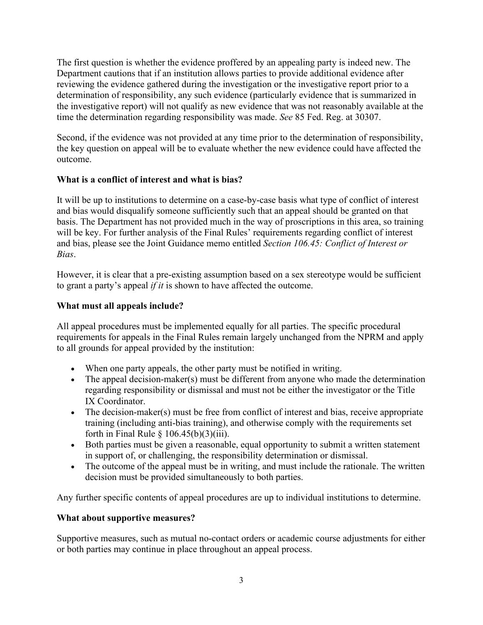The first question is whether the evidence proffered by an appealing party is indeed new. The Department cautions that if an institution allows parties to provide additional evidence after reviewing the evidence gathered during the investigation or the investigative report prior to a determination of responsibility, any such evidence (particularly evidence that is summarized in the investigative report) will not qualify as new evidence that was not reasonably available at the time the determination regarding responsibility was made. *See* 85 Fed. Reg. at 30307.

Second, if the evidence was not provided at any time prior to the determination of responsibility, the key question on appeal will be to evaluate whether the new evidence could have affected the outcome.

## **What is a conflict of interest and what is bias?**

It will be up to institutions to determine on a case-by-case basis what type of conflict of interest and bias would disqualify someone sufficiently such that an appeal should be granted on that basis. The Department has not provided much in the way of proscriptions in this area, so training will be key. For further analysis of the Final Rules' requirements regarding conflict of interest and bias, please see the Joint Guidance memo entitled *Section 106.45: Conflict of Interest or Bias*.

However, it is clear that a pre-existing assumption based on a sex stereotype would be sufficient to grant a party's appeal *if it* is shown to have affected the outcome.

## **What must all appeals include?**

All appeal procedures must be implemented equally for all parties. The specific procedural requirements for appeals in the Final Rules remain largely unchanged from the NPRM and apply to all grounds for appeal provided by the institution:

- When one party appeals, the other party must be notified in writing.
- The appeal decision-maker(s) must be different from anyone who made the determination regarding responsibility or dismissal and must not be either the investigator or the Title IX Coordinator.
- The decision-maker(s) must be free from conflict of interest and bias, receive appropriate training (including anti-bias training), and otherwise comply with the requirements set forth in Final Rule  $\S$  106.45(b)(3)(iii).
- Both parties must be given a reasonable, equal opportunity to submit a written statement in support of, or challenging, the responsibility determination or dismissal.
- The outcome of the appeal must be in writing, and must include the rationale. The written decision must be provided simultaneously to both parties.

Any further specific contents of appeal procedures are up to individual institutions to determine.

## **What about supportive measures?**

Supportive measures, such as mutual no-contact orders or academic course adjustments for either or both parties may continue in place throughout an appeal process.